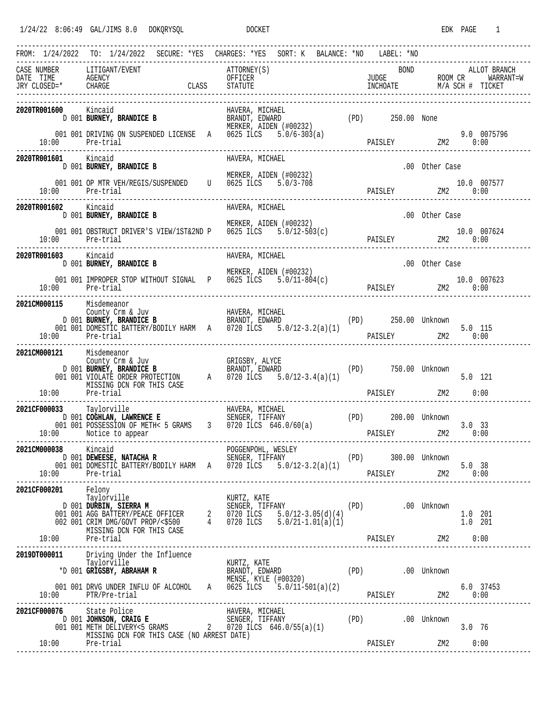$1/24/22$  8:06:49 GAL/JIMS 8.0 DOKQRYSQL DOCKET DOCKET EDK PAGE 1

|                                                  | FROM: 1/24/2022 TO: 1/24/2022 SECURE: *YES CHARGES: *YES SORT: K BALANCE: *NO LABEL: *NO                                                                                                                                                                    |                        | -------------------------------------- |  |                  |                |                |
|--------------------------------------------------|-------------------------------------------------------------------------------------------------------------------------------------------------------------------------------------------------------------------------------------------------------------|------------------------|----------------------------------------|--|------------------|----------------|----------------|
| CASE NUMBER LITIGANT/EVENT                       | CASE NUMBER LITIGANT/EVENT ATTORNEY(S) BOND ALLOT BRANCH<br>DATE TIME AGENCY OFFICER UNITE TIME AGENCY CLASS STATUTE TRY CLOSED=* CHARGE CHARGE CLASS STATUTE TRY CLOSED=* CHARGE CLASS STATUTE TRY CLOSED=* CHARGE CHARGE CLASS                            | ATTORNEY(S)            |                                        |  | <b>BOND</b>      |                |                |
| 2020TR001600 Kincaid                             | <b>600</b> Kincaid<br>D 001 <b>BURNEY, BRANDICE B</b> BRANDT, EDWARD (PD) 250.00 None<br>MERKER, AIDEN (#00232) (PD) 250.00 None<br>001 001 DRIVING ON SUSPENDED LICENSE A 0625 ILCS $5.\overline{0}/6-303(a)$                                              |                        |                                        |  |                  |                | 9.0 0075796    |
| 10:00 Pre-trial                                  |                                                                                                                                                                                                                                                             |                        |                                        |  | PAISLEY ZM2 0:00 |                |                |
| 2020TR001601 Kincaid                             | D 001 BURNEY, BRANDICE B                                                                                                                                                                                                                                    | HAVERA, MICHAEL        |                                        |  |                  | .00 Other Case |                |
| 10:00 Pre-trial<br>----------------------------- | 001 001 OP MTR VEH/REGIS/SUSPENDED U 0625 LLCS 5.0/3-708                                                                                                                                                                                                    | MERKER, AIDEN (#00232) |                                        |  |                  |                |                |
| 2020TR001602 Kincaid                             | D 001 BURNEY, BRANDICE B                                                                                                                                                                                                                                    | HAVERA, MICHAEL        |                                        |  |                  | .00 Other Case |                |
| 10:00 Pre-trial                                  | 001 001 OBSTRUCT DRIVER'S VIEW/1ST&2ND P 0625 ILCS $5.0/12-503(c)$                                                                                                                                                                                          | MERKER, AIDEN (#00232) |                                        |  | PAISLEY ZM2 0:00 |                | 10.0 007624    |
| 2020TR001603 Kincaid                             | D 001 BURNEY, BRANDICE B                                                                                                                                                                                                                                    | HAVERA, MICHAEL        |                                        |  |                  | .00 Other Case |                |
|                                                  | 001 001 IMPROPER STOP WITHOUT SIGNAL P 0625 ILCS $5.0/11-804(c)$                                                                                                                                                                                            | MERKER, AIDEN (#00232) |                                        |  |                  |                |                |
| 2021CM000115<br>10:00 Pre-trial                  | Misdemeanor<br>County Crm & Juv<br>D 001 BURNEY, BRANDICE B BRANDT, EDWARD (PD) 250.00 Unknown<br>001 001 DOMESTIC BATTERY/BODILY HARM A 0720 ILCS 5.0/12-3.2(a)(1) 5.0 DOMESTIC BATTERY/BODILY HARM A 0720 ILCS 5.0/12-3.2(a)(1) PAISLEY 2M2 0:00          |                        |                                        |  |                  |                | $5.0$ 115      |
| 2021CM000121 Misdemeanor<br>10:00 Pre-trial      | County Crinical County Crinical County Crinical County Crinical County Crinical County Crinical County Crinical Crinical Crinical Crinical Crinical Crinical Crinical Crinical Crinical Crinical Crinical Crinical Crinical Cr<br>MISSING DCN FOR THIS CASE |                        |                                        |  | PAISLEY ZM2 0:00 |                | $5.0$ 121      |
| 2021CF000033 Taylorville                         | 000033 Taylorville HAVERA, MICHAEL<br>D 001 COGHLAN, LAWRENCE E SENGER, TIFFANY (PD) 200.00 Unknown<br>001 001 POSSESSION OF METH< 5 GRAMS 3 0720 ILCS 646.0/60(a)<br>10:00 Notice to appear                                                                |                        |                                        |  | PAISLEY ZM2 0:00 |                | $3.0$ 33       |
|                                                  |                                                                                                                                                                                                                                                             |                        |                                        |  |                  |                |                |
| 2021CF000201 Felony<br>Taylorville               | Taylorville<br>D 001 <b>DURBIN, SIERRA M</b><br>O 01 001 AGG BATTERY/PEACE OFFICER 2 0720 ILCS 5.0/12-3.05(d)(4)<br>002 001 CRIM DMG/GOVT PROP/<\$500 4 0720 ILCS 5.0/21-1.01(a)(1)<br>MISSING DON FOR THIS CASE<br>201 MISSING DON FOR THIS                |                        |                                        |  |                  |                |                |
| MISSING DO<br>Pre-trial Pre-trial                |                                                                                                                                                                                                                                                             |                        |                                        |  |                  |                |                |
|                                                  | 2019DT000011 Driving Under the Influence<br>Taylorville                                                                                                                                                                                                     |                        |                                        |  |                  |                |                |
|                                                  |                                                                                                                                                                                                                                                             |                        |                                        |  |                  |                |                |
| $10:00$ Pre-trial                                | 2021CF000076 State Police HAVERA, MICHAEL<br>D 001 JOHNSON, CRAIG E SENGER, TIFFANY (PD) 001 OO1 METH DELIVERY<5 GRAMS 2 0720 ILCS 646.0/55(a)(1) (PD) 001<br>MISSING DCN FOR THIS CASE (NO ARREST DATE)                                                    |                        |                                        |  |                  |                | 3.0 76<br>0:00 |
|                                                  |                                                                                                                                                                                                                                                             |                        |                                        |  |                  |                |                |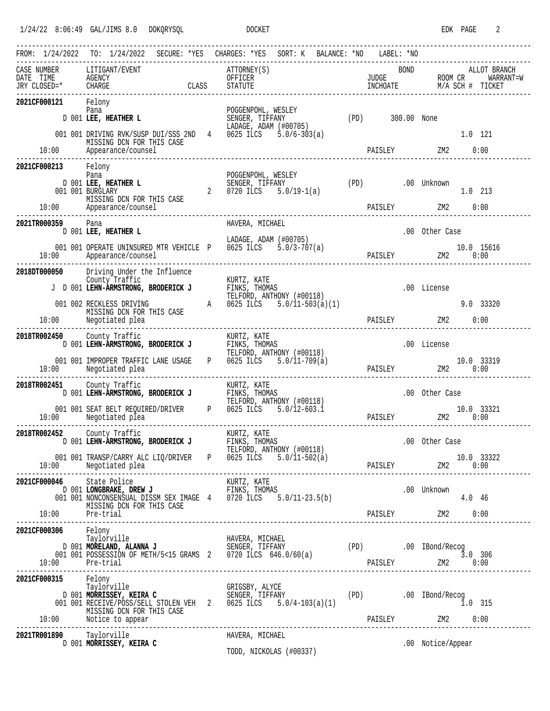|                                                                       | FROM: 1/24/2022 TO: 1/24/2022 SECURE: *YES CHARGES: *YES SORT: K BALANCE: *NO LABEL: *NO                                                                                                                                                                                                                                          |  |                                                                  |  |  |                  |                                      |        |            |
|-----------------------------------------------------------------------|-----------------------------------------------------------------------------------------------------------------------------------------------------------------------------------------------------------------------------------------------------------------------------------------------------------------------------------|--|------------------------------------------------------------------|--|--|------------------|--------------------------------------|--------|------------|
| CASE NUMBER LITIGANT/EVENT<br>DATE TIME AGENCY<br>JRY CLOSED=* CHARGE | ASE NUMBER LITIGANT/EVENT ATTORNEY(S) ATTORNEY(S) BOND ALLOT BRANCH<br>ATE TIME AGENCY OFFICER DEFICER TIME ROOM CR MARRANT=W<br>RY CLOSED=* CHARGE CLASS STATUTE INCHOATE INCHOATE M/A SCH # TICKET<br>-------------------------------                                                                                           |  |                                                                  |  |  |                  |                                      |        |            |
| 2021CF000121                                                          | Felony<br>Pana<br>D 001 LEE, HEATHER L                                                                                                                                                                                                                                                                                            |  | POGGENPOHL, WESLEY<br>SENGER, TIFFANY<br>LADAGE, ADAM $(100705)$ |  |  | (PD) 300.00 None |                                      |        |            |
|                                                                       | 001 001 DRIVING RVK/SUSP DUI/SSS 2ND 4 0625 ILCS 5.0/6-303(a)<br>MISSING DCN FOR THIS CASE                                                                                                                                                                                                                                        |  |                                                                  |  |  |                  | PAISLEY ZM2 0:00                     |        | 1.0 121    |
| 2021CF000213                                                          | Felony<br>Pana<br>D 001 LEE, HEATHER L<br>001 001 BURGLARY                                                                                                                                                                                                                                                                        |  | POGGENPOHL, WESLEY                                               |  |  |                  |                                      |        | $1.0$ 213  |
|                                                                       | MISSING DCN FOR THIS CASE<br>10:00 Appearance/counsel                                                                                                                                                                                                                                                                             |  |                                                                  |  |  |                  | PAISLEY ZM2                          |        | 0:00       |
| 2021TR000359                                                          | Pana<br>D 001 LEE, HEATHER L                                                                                                                                                                                                                                                                                                      |  | HAVERA, MICHAEL<br>LADAGE, ADAM (#00705)                         |  |  |                  | .00 Other Case                       |        |            |
| 10:00                                                                 | 001 001 OPERATE UNINSURED MTR VEHICLE P 0625 ILCS 5.0/3-707(a)<br>Appearance/counsel                                                                                                                                                                                                                                              |  |                                                                  |  |  |                  | 10.0 15616<br>PAISLEY 2M2 0:00       |        |            |
| 2018DT000050                                                          | Driving Under the Influence<br>County Traffic<br>J D 001 LEHN-ARMSTRONG, BRODERICK J FINKS, THOMAS<br>TELFORD, ANTHONY (#00118)                                                                                                                                                                                                   |  |                                                                  |  |  |                  | .00 License                          |        |            |
|                                                                       | 001 002 RECKLESS DRIVING $A$ 0625 ILCS 5.0/11-503(a)(1)<br>MISSING DCN FOR THIS CASE<br>$10:00$ Negotiated plea                                                                                                                                                                                                                   |  |                                                                  |  |  |                  | PAISLEY ZM2 0:00                     |        | 9.0 33320  |
| 2018TR002450 County Traffic                                           | 0 County Traffic<br>D 001 LEHN-ARMSTRONG, BRODERICK J FINKS, THOMAS<br>TELFORD, ANTHONY (#00118)                                                                                                                                                                                                                                  |  |                                                                  |  |  |                  | .00 License                          |        |            |
| 10:00                                                                 | 001 001 IMPROPER TRAFFIC LANE USAGE P 0625 ILCS 5.0/11-709(a)<br>Negotiated plea                                                                                                                                                                                                                                                  |  |                                                                  |  |  |                  | 10.0 33319<br>PAISLEY ZM2 0:00       |        |            |
| 2018TR002451 County Traffic                                           | 51 County Traffic<br>D 001 LEHN-ARMSTRONG, BRODERICK J FINKS, THOMAS<br>TELFORD, ANTHONY (#00118)                                                                                                                                                                                                                                 |  |                                                                  |  |  |                  | .00 Other Case                       |        |            |
|                                                                       | 001 001 SEAT BELT REQUIRED/DRIVER P 0625 ILCS 5.0/12-603.1<br>10:00 Negotiated plea                                                                                                                                                                                                                                               |  |                                                                  |  |  |                  | $10.0$ 33321<br>PAISLEY $ZM2$ $0:00$ |        |            |
| 2018TR002452 County Traffic                                           | County Traffic Museum KURTZ, KATE D 001 LEHN-ARMSTRONG, BRODERICK J FINKS, THOMAS                                                                                                                                                                                                                                                 |  | FINKS, THOMAS<br>TELFORD, ANTHONY (#00118)                       |  |  |                  | .00 Other Case                       |        |            |
|                                                                       | 001 001 TRANSP/CARRY ALC LIQ/DRIVER P 0625 ILCS 5.0/11-502(a)                                                                                                                                                                                                                                                                     |  |                                                                  |  |  |                  |                                      |        | 10.0 33322 |
|                                                                       | 2021CF000046 State Police<br>046 State Police MURTZ, KATE<br>D 001 LONGBRAKE, DREW J<br>D 001 NONCONSENSUAL DISSM SEX IMAGE 4 0720 ILCS 5.0/11-23.5(b)<br>MISSING DCN FOR THIS CASE                                                                                                                                               |  |                                                                  |  |  |                  | .00 Unknown                          | 4.0 46 |            |
| 2021CF000306                                                          | Felony<br>Taylorville                                                                                                                                                                                                                                                                                                             |  |                                                                  |  |  |                  |                                      |        |            |
|                                                                       | Taylorville <b>HAVERA, MICHAEL</b><br>D 001 <b>MORELAND, ALANNA J</b> SENGER, TIFFANY (PD) .00 IBond/Recog<br>001 001 POSSESSION OF METH/5<15 GRAMS 2 0720 ILCS 646.0/60(a) (PD) .00 IBond/Recog<br>001 001 POSSESSION OF METH/5<15 GRAMS 2 0720 ILCS 646.0/60(a) PAISLEY 2M2 0:00<br>10:00 Pre-trial 2M2 0:00 Pre-trial 2M2 0:00 |  |                                                                  |  |  |                  |                                      |        |            |
| 2021CF000315 Felony                                                   | Taylorville (RIGSBY, ALYCE (PD) (RIGSBY, ALYCE DOOL MORRISSEY, KEIRA C<br>DOOL MORRISSEY, KEIRA C SENGER, TIFFANY (PD) .00 IBond/Recog<br>001 001 RECEIVE/POSS/SELL STOLEN VEH 2 0625 ILCS 5.0/4-103(a)(1) (PD) .00 IBond/Recog                                                                                                   |  |                                                                  |  |  |                  | $\bar{1}.0$ 315                      |        |            |
|                                                                       | MISSING DCN FOR THIS CASE<br>10:00    Motice to appear                                                                                                                                                                                                                                                                            |  |                                                                  |  |  |                  |                                      |        |            |
| 2021TR001890 Taylorville                                              | D 001 MORRISSEY, KEIRA C                                                                                                                                                                                                                                                                                                          |  | HAVERA, MICHAEL<br>TODD, NICKOLAS (#00337)                       |  |  |                  | .00 Notice/Appear                    |        |            |